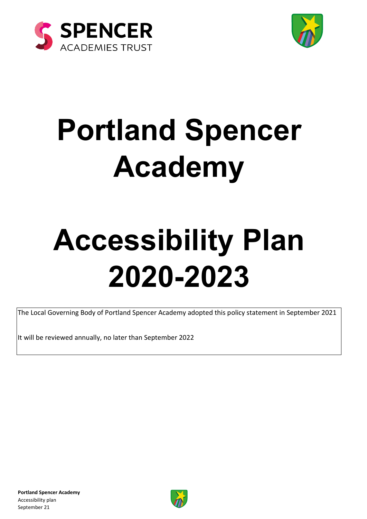



# **Portland Spencer Academy**

# **Accessibility Plan 2020-2023**

The Local Governing Body of Portland Spencer Academy adopted this policy statement in September 2021

It will be reviewed annually, no later than September 2022

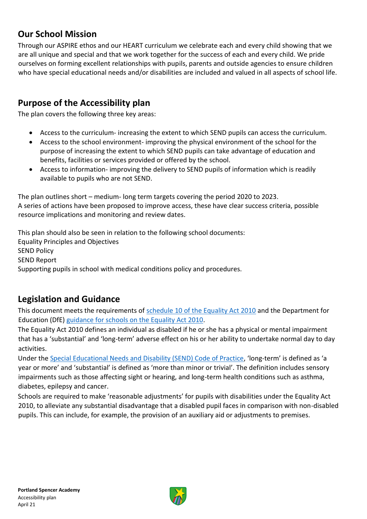#### **Our School Mission**

Through our ASPIRE ethos and our HEART curriculum we celebrate each and every child showing that we are all unique and special and that we work together for the success of each and every child. We pride ourselves on forming excellent relationships with pupils, parents and outside agencies to ensure children who have special educational needs and/or disabilities are included and valued in all aspects of school life.

#### **Purpose of the Accessibility plan**

The plan covers the following three key areas:

- Access to the curriculum- increasing the extent to which SEND pupils can access the curriculum.
- Access to the school environment- improving the physical environment of the school for the purpose of increasing the extent to which SEND pupils can take advantage of education and benefits, facilities or services provided or offered by the school.
- Access to information- improving the delivery to SEND pupils of information which is readily available to pupils who are not SEND.

The plan outlines short – medium- long term targets covering the period 2020 to 2023. A series of actions have been proposed to improve access, these have clear success criteria, possible resource implications and monitoring and review dates.

This plan should also be seen in relation to the following school documents: Equality Principles and Objectives SEND Policy SEND Report Supporting pupils in school with medical conditions policy and procedures.

#### **Legislation and Guidance**

This document meets the requirements of [schedule 10 of the Equality Act 2010](http://www.legislation.gov.uk/ukpga/2010/15/schedule/10) and the Department for Education (DfE) [guidance for schools on the Equality Act 2010.](https://www.gov.uk/government/publications/equality-act-2010-advice-for-schools)

The Equality Act 2010 defines an individual as disabled if he or she has a physical or mental impairment that has a 'substantial' and 'long-term' adverse effect on his or her ability to undertake normal day to day activities.

Under the [Special Educational Needs and Disability \(SEND\) Code of Practice](https://www.gov.uk/government/publications/send-code-of-practice-0-to-25), 'long-term' is defined as 'a year or more' and 'substantial' is defined as 'more than minor or trivial'. The definition includes sensory impairments such as those affecting sight or hearing, and long-term health conditions such as asthma, diabetes, epilepsy and cancer.

Schools are required to make 'reasonable adjustments' for pupils with disabilities under the Equality Act 2010, to alleviate any substantial disadvantage that a disabled pupil faces in comparison with non-disabled pupils. This can include, for example, the provision of an auxiliary aid or adjustments to premises.

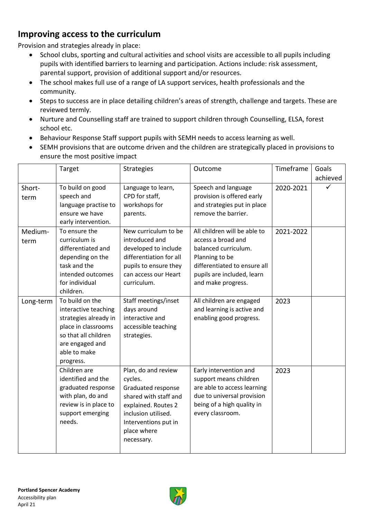#### **Improving access to the curriculum**

Provision and strategies already in place:

- School clubs, sporting and cultural activities and school visits are accessible to all pupils including pupils with identified barriers to learning and participation. Actions include: risk assessment, parental support, provision of additional support and/or resources.
- The school makes full use of a range of LA support services, health professionals and the community.
- Steps to success are in place detailing children's areas of strength, challenge and targets. These are reviewed termly.
- Nurture and Counselling staff are trained to support children through Counselling, ELSA, forest school etc.
- Behaviour Response Staff support pupils with SEMH needs to access learning as well.
- SEMH provisions that are outcome driven and the children are strategically placed in provisions to ensure the most positive impact

|                 | Target                                                                                                                                                          | <b>Strategies</b>                                                                                                                                                                | Outcome                                                                                                                                                                          | Timeframe | Goals<br>achieved |
|-----------------|-----------------------------------------------------------------------------------------------------------------------------------------------------------------|----------------------------------------------------------------------------------------------------------------------------------------------------------------------------------|----------------------------------------------------------------------------------------------------------------------------------------------------------------------------------|-----------|-------------------|
| Short-<br>term  | To build on good<br>speech and<br>language practise to<br>ensure we have<br>early intervention.                                                                 | Language to learn,<br>CPD for staff,<br>workshops for<br>parents.                                                                                                                | Speech and language<br>provision is offered early<br>and strategies put in place<br>remove the barrier.                                                                          | 2020-2021 |                   |
| Medium-<br>term | To ensure the<br>curriculum is<br>differentiated and<br>depending on the<br>task and the<br>intended outcomes<br>for individual<br>children.                    | New curriculum to be<br>introduced and<br>developed to include<br>differentiation for all<br>pupils to ensure they<br>can access our Heart<br>curriculum.                        | All children will be able to<br>access a broad and<br>balanced curriculum.<br>Planning to be<br>differentiated to ensure all<br>pupils are included, learn<br>and make progress. | 2021-2022 |                   |
| Long-term       | To build on the<br>interactive teaching<br>strategies already in<br>place in classrooms<br>so that all children<br>are engaged and<br>able to make<br>progress. | Staff meetings/inset<br>days around<br>interactive and<br>accessible teaching<br>strategies.                                                                                     | All children are engaged<br>and learning is active and<br>enabling good progress.                                                                                                | 2023      |                   |
|                 | Children are<br>identified and the<br>graduated response<br>with plan, do and<br>review is in place to<br>support emerging<br>needs.                            | Plan, do and review<br>cycles.<br>Graduated response<br>shared with staff and<br>explained. Routes 2<br>inclusion utilised.<br>Interventions put in<br>place where<br>necessary. | Early intervention and<br>support means children<br>are able to access learning<br>due to universal provision<br>being of a high quality in<br>every classroom.                  | 2023      |                   |

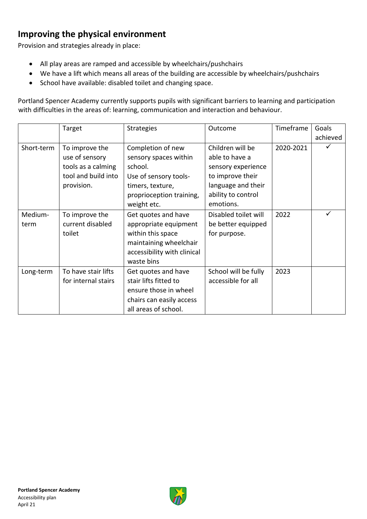## **Improving the physical environment**

Provision and strategies already in place:

- All play areas are ramped and accessible by wheelchairs/pushchairs
- We have a lift which means all areas of the building are accessible by wheelchairs/pushchairs
- School have available: disabled toilet and changing space.

Portland Spencer Academy currently supports pupils with significant barriers to learning and participation with difficulties in the areas of: learning, communication and interaction and behaviour.

|                 | Target                                                                                      | <b>Strategies</b>                                                                                                                             | Outcome                                                                                                                               | Timeframe | Goals    |
|-----------------|---------------------------------------------------------------------------------------------|-----------------------------------------------------------------------------------------------------------------------------------------------|---------------------------------------------------------------------------------------------------------------------------------------|-----------|----------|
|                 |                                                                                             |                                                                                                                                               |                                                                                                                                       |           | achieved |
| Short-term      | To improve the<br>use of sensory<br>tools as a calming<br>tool and build into<br>provision. | Completion of new<br>sensory spaces within<br>school.<br>Use of sensory tools-<br>timers, texture,<br>proprioception training,<br>weight etc. | Children will be<br>able to have a<br>sensory experience<br>to improve their<br>language and their<br>ability to control<br>emotions. | 2020-2021 |          |
| Medium-<br>term | To improve the<br>current disabled<br>toilet                                                | Get quotes and have<br>appropriate equipment<br>within this space<br>maintaining wheelchair<br>accessibility with clinical<br>waste bins      | Disabled toilet will<br>be better equipped<br>for purpose.                                                                            | 2022      |          |
| Long-term       | To have stair lifts<br>for internal stairs                                                  | Get quotes and have<br>stair lifts fitted to<br>ensure those in wheel<br>chairs can easily access<br>all areas of school.                     | School will be fully<br>accessible for all                                                                                            | 2023      |          |

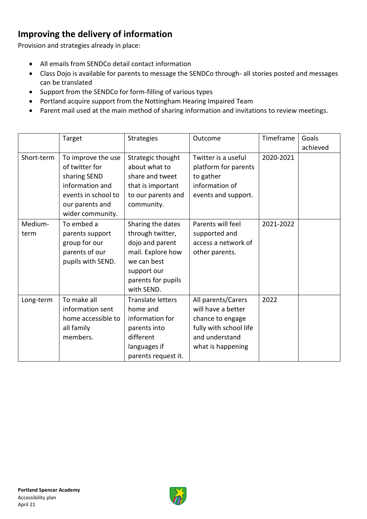# **Improving the delivery of information**

Provision and strategies already in place:

- All emails from SENDCo detail contact information
- Class Dojo is available for parents to message the SENDCo through- all stories posted and messages can be translated
- Support from the SENDCo for form-filling of various types
- Portland acquire support from the Nottingham Hearing Impaired Team
- Parent mail used at the main method of sharing information and invitations to review meetings.

|            | Target              | <b>Strategies</b>        | Outcome                | Timeframe | Goals    |
|------------|---------------------|--------------------------|------------------------|-----------|----------|
|            |                     |                          |                        |           | achieved |
| Short-term | To improve the use  | Strategic thought        | Twitter is a useful    | 2020-2021 |          |
|            | of twitter for      | about what to            | platform for parents   |           |          |
|            | sharing SEND        | share and tweet          | to gather              |           |          |
|            | information and     | that is important        | information of         |           |          |
|            | events in school to | to our parents and       | events and support.    |           |          |
|            | our parents and     | community.               |                        |           |          |
|            | wider community.    |                          |                        |           |          |
| Medium-    | To embed a          | Sharing the dates        | Parents will feel      | 2021-2022 |          |
| term       | parents support     | through twitter,         | supported and          |           |          |
|            | group for our       | dojo and parent          | access a network of    |           |          |
|            | parents of our      | mail. Explore how        | other parents.         |           |          |
|            | pupils with SEND.   | we can best              |                        |           |          |
|            |                     | support our              |                        |           |          |
|            |                     | parents for pupils       |                        |           |          |
|            |                     | with SEND.               |                        |           |          |
| Long-term  | To make all         | <b>Translate letters</b> | All parents/Carers     | 2022      |          |
|            | information sent    | home and                 | will have a better     |           |          |
|            | home accessible to  | information for          | chance to engage       |           |          |
|            | all family          | parents into             | fully with school life |           |          |
|            | members.            | different                | and understand         |           |          |
|            |                     | languages if             | what is happening      |           |          |
|            |                     | parents request it.      |                        |           |          |